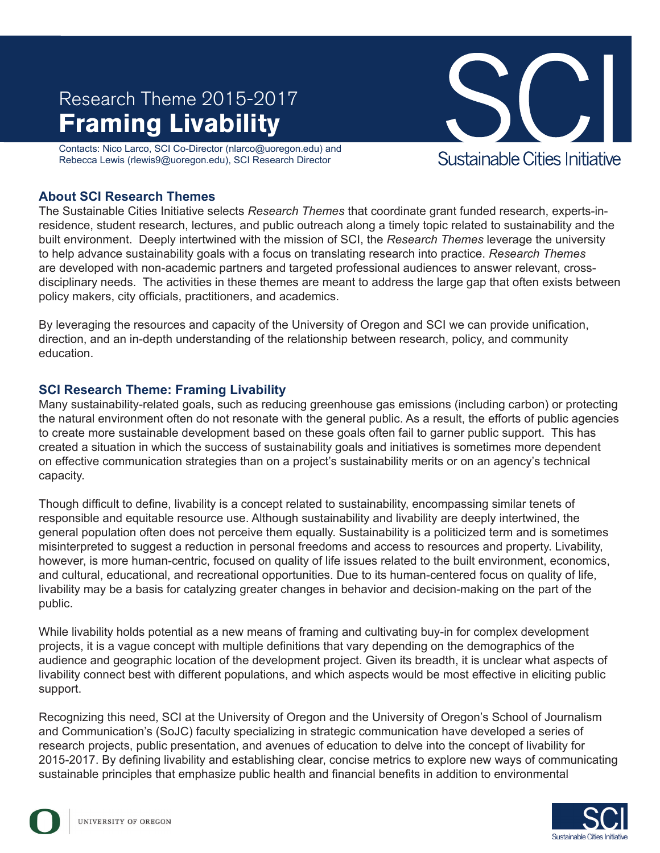# **Framing Livability** Research Theme 2015-2017

Contacts: Nico Larco, SCI Co-Director (nlarco@uoregon.edu) and Rebecca Lewis (rlewis9@uoregon.edu), SCI Research Director



#### **About SCI Research Themes**

The Sustainable Cities Initiative selects *Research Themes* that coordinate grant funded research, experts-inresidence, student research, lectures, and public outreach along a timely topic related to sustainability and the built environment. Deeply intertwined with the mission of SCI, the *Research Themes* leverage the university to help advance sustainability goals with a focus on translating research into practice. *Research Themes* are developed with non-academic partners and targeted professional audiences to answer relevant, crossdisciplinary needs. The activities in these themes are meant to address the large gap that often exists between policy makers, city officials, practitioners, and academics.

By leveraging the resources and capacity of the University of Oregon and SCI we can provide unification, direction, and an in-depth understanding of the relationship between research, policy, and community education.

#### **SCI Research Theme: Framing Livability**

Many sustainability-related goals, such as reducing greenhouse gas emissions (including carbon) or protecting the natural environment often do not resonate with the general public. As a result, the efforts of public agencies to create more sustainable development based on these goals often fail to garner public support. This has created a situation in which the success of sustainability goals and initiatives is sometimes more dependent on effective communication strategies than on a project's sustainability merits or on an agency's technical capacity.

Though difficult to define, livability is a concept related to sustainability, encompassing similar tenets of responsible and equitable resource use. Although sustainability and livability are deeply intertwined, the general population often does not perceive them equally. Sustainability is a politicized term and is sometimes misinterpreted to suggest a reduction in personal freedoms and access to resources and property. Livability, however, is more human-centric, focused on quality of life issues related to the built environment, economics, and cultural, educational, and recreational opportunities. Due to its human-centered focus on quality of life, livability may be a basis for catalyzing greater changes in behavior and decision-making on the part of the public.

While livability holds potential as a new means of framing and cultivating buy-in for complex development projects, it is a vague concept with multiple definitions that vary depending on the demographics of the audience and geographic location of the development project. Given its breadth, it is unclear what aspects of livability connect best with different populations, and which aspects would be most effective in eliciting public support.

Recognizing this need, SCI at the University of Oregon and the University of Oregon's School of Journalism and Communication's (SoJC) faculty specializing in strategic communication have developed a series of research projects, public presentation, and avenues of education to delve into the concept of livability for 2015-2017. By defining livability and establishing clear, concise metrics to explore new ways of communicating sustainable principles that emphasize public health and financial benefits in addition to environmental

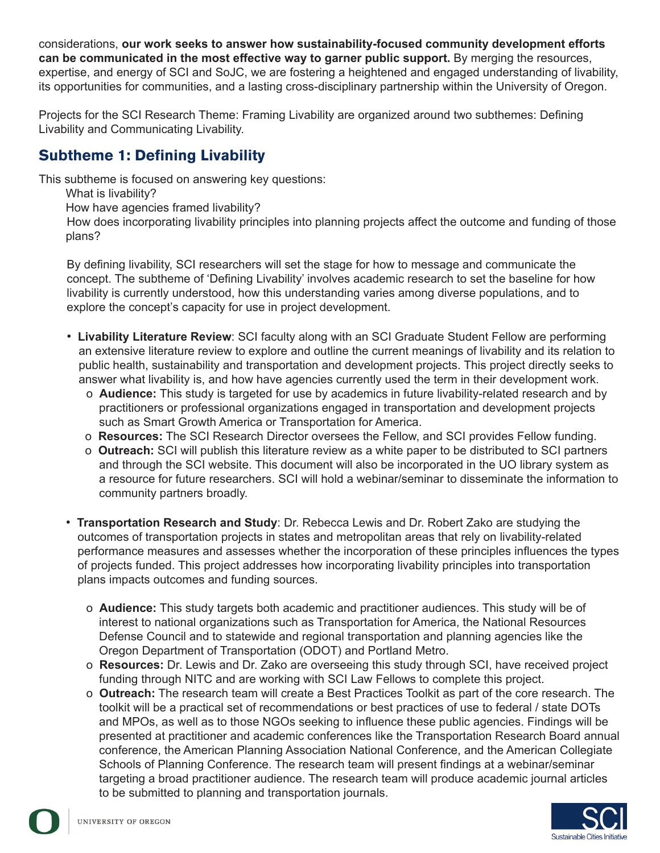considerations, **our work seeks to answer how sustainability-focused community development efforts can be communicated in the most effective way to garner public support.** By merging the resources, expertise, and energy of SCI and SoJC, we are fostering a heightened and engaged understanding of livability, its opportunities for communities, and a lasting cross-disciplinary partnership within the University of Oregon.

Projects for the SCI Research Theme: Framing Livability are organized around two subthemes: Defining Livability and Communicating Livability.

## **Subtheme 1: Defining Livability**

This subtheme is focused on answering key questions:

What is livability?

How have agencies framed livability?

How does incorporating livability principles into planning projects affect the outcome and funding of those plans?

By defining livability, SCI researchers will set the stage for how to message and communicate the concept. The subtheme of 'Defining Livability' involves academic research to set the baseline for how livability is currently understood, how this understanding varies among diverse populations, and to explore the concept's capacity for use in project development.

- **Livability Literature Review**: SCI faculty along with an SCI Graduate Student Fellow are performing an extensive literature review to explore and outline the current meanings of livability and its relation to public health, sustainability and transportation and development projects. This project directly seeks to answer what livability is, and how have agencies currently used the term in their development work.
	- o **Audience:** This study is targeted for use by academics in future livability-related research and by practitioners or professional organizations engaged in transportation and development projects such as Smart Growth America or Transportation for America.
	- o **Resources:** The SCI Research Director oversees the Fellow, and SCI provides Fellow funding.
	- o **Outreach:** SCI will publish this literature review as a white paper to be distributed to SCI partners and through the SCI website. This document will also be incorporated in the UO library system as a resource for future researchers. SCI will hold a webinar/seminar to disseminate the information to community partners broadly.
- **Transportation Research and Study**: Dr. Rebecca Lewis and Dr. Robert Zako are studying the outcomes of transportation projects in states and metropolitan areas that rely on livability-related performance measures and assesses whether the incorporation of these principles influences the types of projects funded. This project addresses how incorporating livability principles into transportation plans impacts outcomes and funding sources.
	- o **Audience:** This study targets both academic and practitioner audiences. This study will be of interest to national organizations such as Transportation for America, the National Resources Defense Council and to statewide and regional transportation and planning agencies like the Oregon Department of Transportation (ODOT) and Portland Metro.
	- o **Resources:** Dr. Lewis and Dr. Zako are overseeing this study through SCI, have received project funding through NITC and are working with SCI Law Fellows to complete this project.
	- o **Outreach:** The research team will create a Best Practices Toolkit as part of the core research. The toolkit will be a practical set of recommendations or best practices of use to federal / state DOTs and MPOs, as well as to those NGOs seeking to influence these public agencies. Findings will be presented at practitioner and academic conferences like the Transportation Research Board annual conference, the American Planning Association National Conference, and the American Collegiate Schools of Planning Conference. The research team will present findings at a webinar/seminar targeting a broad practitioner audience. The research team will produce academic journal articles to be submitted to planning and transportation journals.

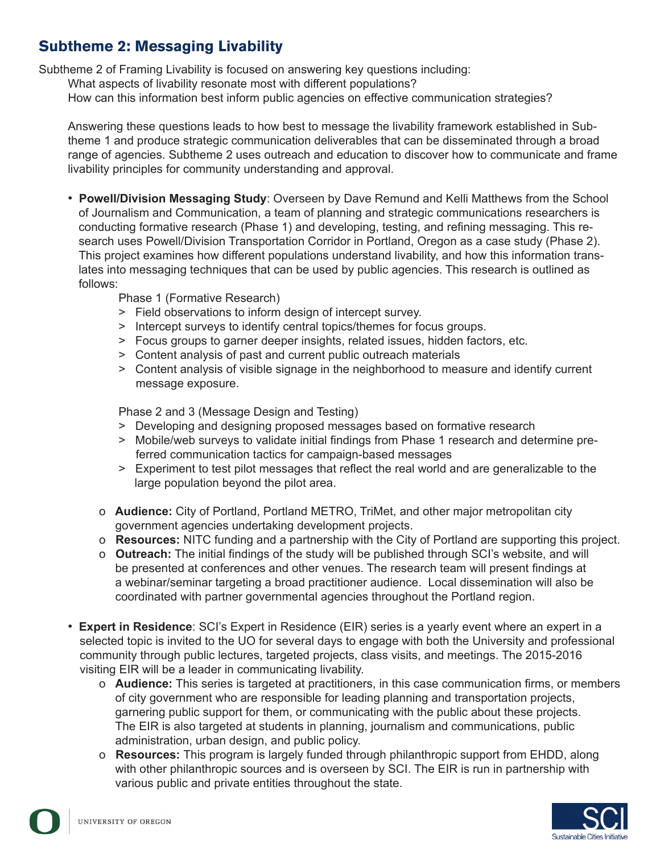## **Subtheme 2: Messaging Livability**

Subtheme 2 of Framing Livability is focused on answering key questions including:

What aspects of livability resonate most with different populations?

How can this information best inform public agencies on effective communication strategies?

Answering these questions leads to how best to message the livability framework established in Subtheme 1 and produce strategic communication deliverables that can be disseminated through a broad range of agencies. Subtheme 2 uses outreach and education to discover how to communicate and frame livability principles for community understanding and approval.

• **Powell/Division Messaging Study**: Overseen by Dave Remund and Kelli Matthews from the School of Journalism and Communication, a team of planning and strategic communications researchers is conducting formative research (Phase 1) and developing, testing, and refining messaging. This research uses Powell/Division Transportation Corridor in Portland, Oregon as a case study (Phase 2). This project examines how different populations understand livability, and how this information translates into messaging techniques that can be used by public agencies. This research is outlined as follows:

Phase 1 (Formative Research)

- > Field observations to inform design of intercept survey.
- > Intercept surveys to identify central topics/themes for focus groups.
- > Focus groups to garner deeper insights, related issues, hidden factors, etc.
- > Content analysis of past and current public outreach materials
- > Content analysis of visible signage in the neighborhood to measure and identify current message exposure.

Phase 2 and 3 (Message Design and Testing)

- > Developing and designing proposed messages based on formative research
- > Mobile/web surveys to validate initial findings from Phase 1 research and determine preferred communication tactics for campaign-based messages
- > Experiment to test pilot messages that reflect the real world and are generalizable to the large population beyond the pilot area.
- o **Audience:** City of Portland, Portland METRO, TriMet, and other major metropolitan city government agencies undertaking development projects.
- o **Resources:** NITC funding and a partnership with the City of Portland are supporting this project.
- o **Outreach:** The initial findings of the study will be published through SCI's website, and will be presented at conferences and other venues. The research team will present findings at a webinar/seminar targeting a broad practitioner audience. Local dissemination will also be coordinated with partner governmental agencies throughout the Portland region.
- **Expert in Residence**: SCI's Expert in Residence (EIR) series is a yearly event where an expert in a selected topic is invited to the UO for several days to engage with both the University and professional community through public lectures, targeted projects, class visits, and meetings. The 2015-2016 visiting EIR will be a leader in communicating livability.
	- o **Audience:** This series is targeted at practitioners, in this case communication firms, or members of city government who are responsible for leading planning and transportation projects, garnering public support for them, or communicating with the public about these projects. The EIR is also targeted at students in planning, journalism and communications, public administration, urban design, and public policy.
	- o **Resources:** This program is largely funded through philanthropic support from EHDD, along with other philanthropic sources and is overseen by SCI. The EIR is run in partnership with various public and private entities throughout the state.

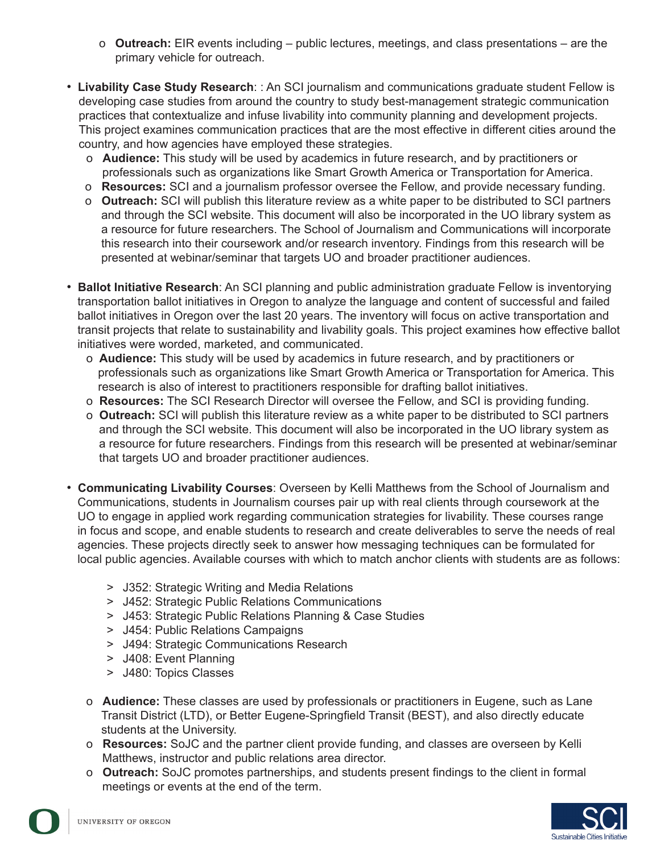- o **Outreach:** EIR events including public lectures, meetings, and class presentations are the primary vehicle for outreach.
- **Livability Case Study Research**: : An SCI journalism and communications graduate student Fellow is developing case studies from around the country to study best-management strategic communication practices that contextualize and infuse livability into community planning and development projects. This project examines communication practices that are the most effective in different cities around the country, and how agencies have employed these strategies.
	- o **Audience:** This study will be used by academics in future research, and by practitioners or professionals such as organizations like Smart Growth America or Transportation for America.
	- o **Resources:** SCI and a journalism professor oversee the Fellow, and provide necessary funding.
	- o **Outreach:** SCI will publish this literature review as a white paper to be distributed to SCI partners and through the SCI website. This document will also be incorporated in the UO library system as a resource for future researchers. The School of Journalism and Communications will incorporate this research into their coursework and/or research inventory. Findings from this research will be presented at webinar/seminar that targets UO and broader practitioner audiences.
- **Ballot Initiative Research**: An SCI planning and public administration graduate Fellow is inventorying transportation ballot initiatives in Oregon to analyze the language and content of successful and failed ballot initiatives in Oregon over the last 20 years. The inventory will focus on active transportation and transit projects that relate to sustainability and livability goals. This project examines how effective ballot initiatives were worded, marketed, and communicated.
	- o **Audience:** This study will be used by academics in future research, and by practitioners or professionals such as organizations like Smart Growth America or Transportation for America. This research is also of interest to practitioners responsible for drafting ballot initiatives.
	- o **Resources:** The SCI Research Director will oversee the Fellow, and SCI is providing funding.
	- o **Outreach:** SCI will publish this literature review as a white paper to be distributed to SCI partners and through the SCI website. This document will also be incorporated in the UO library system as a resource for future researchers. Findings from this research will be presented at webinar/seminar that targets UO and broader practitioner audiences.
- **Communicating Livability Courses**: Overseen by Kelli Matthews from the School of Journalism and Communications, students in Journalism courses pair up with real clients through coursework at the UO to engage in applied work regarding communication strategies for livability. These courses range in focus and scope, and enable students to research and create deliverables to serve the needs of real agencies. These projects directly seek to answer how messaging techniques can be formulated for local public agencies. Available courses with which to match anchor clients with students are as follows:
	- > J352: Strategic Writing and Media Relations
	- > J452: Strategic Public Relations Communications
	- > J453: Strategic Public Relations Planning & Case Studies
	- > J454: Public Relations Campaigns
	- > J494: Strategic Communications Research
	- > J408: Event Planning
	- > J480: Topics Classes
	- o **Audience:** These classes are used by professionals or practitioners in Eugene, such as Lane Transit District (LTD), or Better Eugene-Springfield Transit (BEST), and also directly educate students at the University.
	- o **Resources:** SoJC and the partner client provide funding, and classes are overseen by Kelli Matthews, instructor and public relations area director.
	- o **Outreach:** SoJC promotes partnerships, and students present findings to the client in formal meetings or events at the end of the term.